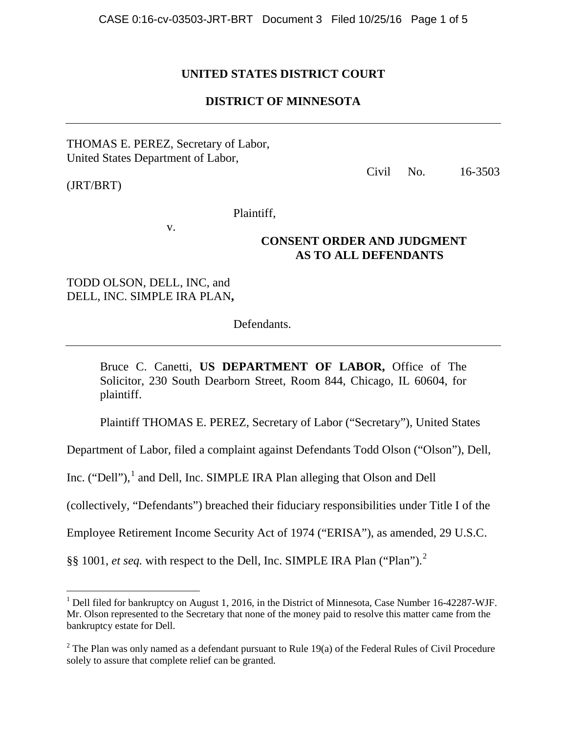## **UNITED STATES DISTRICT COURT**

### **DISTRICT OF MINNESOTA**

### THOMAS E. PEREZ, Secretary of Labor, United States Department of Labor,

(JRT/BRT)

i

Civil No. 16-3503

Plaintiff,

v.

## **CONSENT ORDER AND JUDGMENT AS TO ALL DEFENDANTS**

# TODD OLSON, DELL, INC, and DELL, INC. SIMPLE IRA PLAN**,**

Defendants.

Bruce C. Canetti, **US DEPARTMENT OF LABOR,** Office of The Solicitor, 230 South Dearborn Street, Room 844, Chicago, IL 60604, for plaintiff.

Plaintiff THOMAS E. PEREZ, Secretary of Labor ("Secretary"), United States

Department of Labor, filed a complaint against Defendants Todd Olson ("Olson"), Dell,

Inc. ("Dell"), $<sup>1</sup>$  $<sup>1</sup>$  $<sup>1</sup>$  and Dell, Inc. SIMPLE IRA Plan alleging that Olson and Dell</sup>

(collectively, "Defendants") breached their fiduciary responsibilities under Title I of the

Employee Retirement Income Security Act of 1974 ("ERISA"), as amended, 29 U.S.C.

§§ 1001, *et seq.* with respect to the Dell, Inc. SIMPLE IRA Plan ("Plan").<sup>[2](#page-0-1)</sup>

<span id="page-0-0"></span> $<sup>1</sup>$  Dell filed for bankruptcy on August 1, 2016, in the District of Minnesota, Case Number 16-42287-WJF.</sup> Mr. Olson represented to the Secretary that none of the money paid to resolve this matter came from the bankruptcy estate for Dell.

<span id="page-0-1"></span> $2$  The Plan was only named as a defendant pursuant to Rule 19(a) of the Federal Rules of Civil Procedure solely to assure that complete relief can be granted.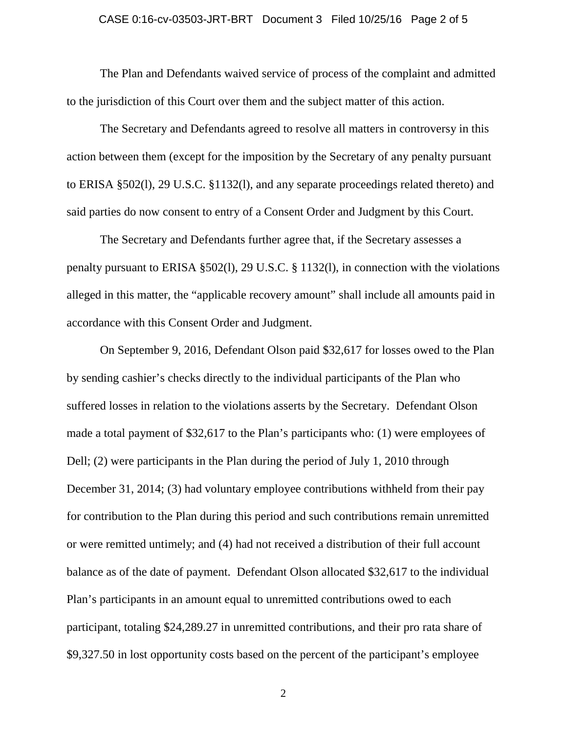# CASE 0:16-cv-03503-JRT-BRT Document 3 Filed 10/25/16 Page 2 of 5

The Plan and Defendants waived service of process of the complaint and admitted to the jurisdiction of this Court over them and the subject matter of this action.

The Secretary and Defendants agreed to resolve all matters in controversy in this action between them (except for the imposition by the Secretary of any penalty pursuant to ERISA §502(l), 29 U.S.C. §1132(l), and any separate proceedings related thereto) and said parties do now consent to entry of a Consent Order and Judgment by this Court.

The Secretary and Defendants further agree that, if the Secretary assesses a penalty pursuant to ERISA §502(l), 29 U.S.C. § 1132(l), in connection with the violations alleged in this matter, the "applicable recovery amount" shall include all amounts paid in accordance with this Consent Order and Judgment.

On September 9, 2016, Defendant Olson paid \$32,617 for losses owed to the Plan by sending cashier's checks directly to the individual participants of the Plan who suffered losses in relation to the violations asserts by the Secretary. Defendant Olson made a total payment of \$32,617 to the Plan's participants who: (1) were employees of Dell; (2) were participants in the Plan during the period of July 1, 2010 through December 31, 2014; (3) had voluntary employee contributions withheld from their pay for contribution to the Plan during this period and such contributions remain unremitted or were remitted untimely; and (4) had not received a distribution of their full account balance as of the date of payment. Defendant Olson allocated \$32,617 to the individual Plan's participants in an amount equal to unremitted contributions owed to each participant, totaling \$24,289.27 in unremitted contributions, and their pro rata share of \$9,327.50 in lost opportunity costs based on the percent of the participant's employee

2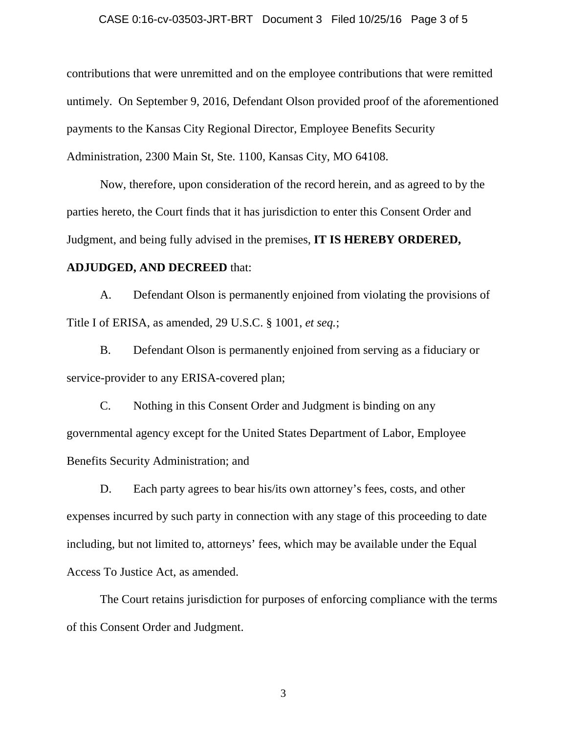#### CASE 0:16-cv-03503-JRT-BRT Document 3 Filed 10/25/16 Page 3 of 5

contributions that were unremitted and on the employee contributions that were remitted untimely. On September 9, 2016, Defendant Olson provided proof of the aforementioned payments to the Kansas City Regional Director, Employee Benefits Security Administration, 2300 Main St, Ste. 1100, Kansas City, MO 64108.

Now, therefore, upon consideration of the record herein, and as agreed to by the parties hereto, the Court finds that it has jurisdiction to enter this Consent Order and Judgment, and being fully advised in the premises, **IT IS HEREBY ORDERED,** 

#### **ADJUDGED, AND DECREED** that:

A. Defendant Olson is permanently enjoined from violating the provisions of Title I of ERISA, as amended, 29 U.S.C. § 1001, *et seq.*;

B. Defendant Olson is permanently enjoined from serving as a fiduciary or service-provider to any ERISA-covered plan;

C. Nothing in this Consent Order and Judgment is binding on any governmental agency except for the United States Department of Labor, Employee Benefits Security Administration; and

D. Each party agrees to bear his/its own attorney's fees, costs, and other expenses incurred by such party in connection with any stage of this proceeding to date including, but not limited to, attorneys' fees, which may be available under the Equal Access To Justice Act, as amended.

The Court retains jurisdiction for purposes of enforcing compliance with the terms of this Consent Order and Judgment.

3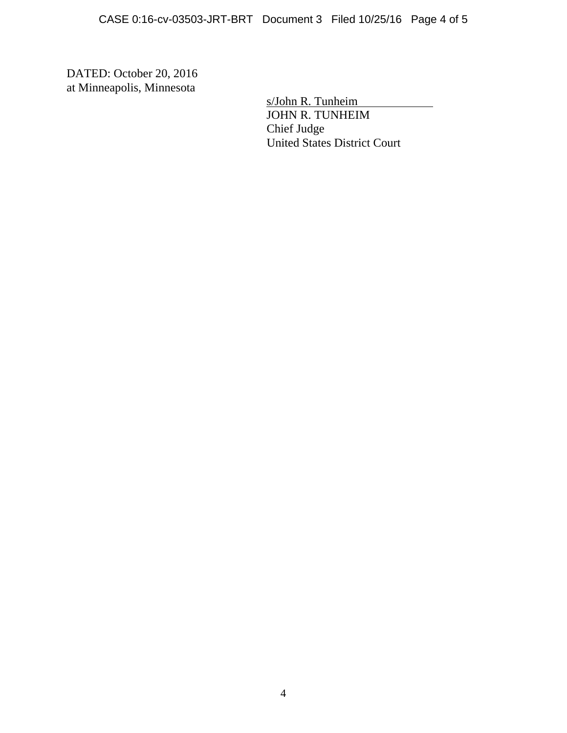DATED: October 20, 2016 at Minneapolis, Minnesota

> s/John R. Tunheim JOHN R. TUNHEIM Chief Judge United States District Court